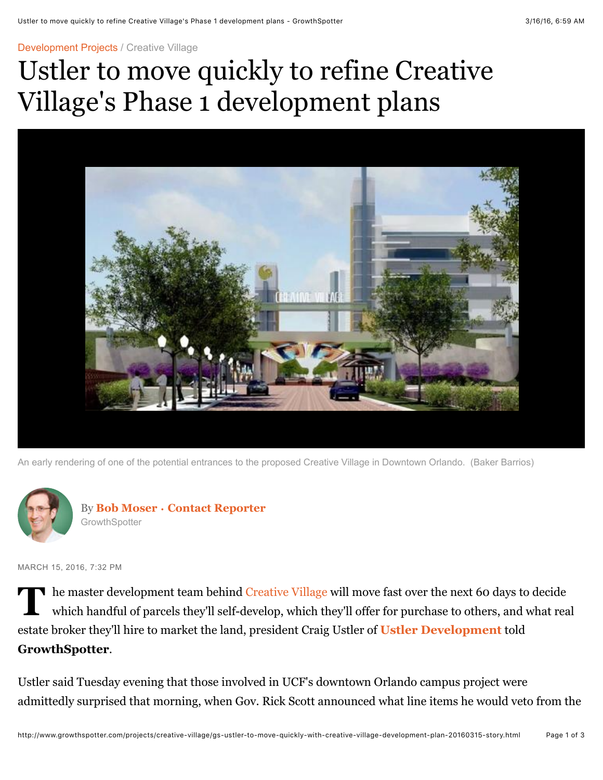[Development Projects /](http://www.growthspotter.com/projects/#nt=breadcrumb) [Creative Village](http://www.growthspotter.com/projects/creative-village/#nt=breadcrumb)

## Ustler to move quickly to refine Creative Village's Phase 1 development plans



An early rendering of one of the potential entrances to the proposed Creative Village in Downtown Orlando. (Baker Barrios)



MARCH 15, 2016, 7:32 PM

**T** he master development team behind [Creative Village](http://www.creativevillageorlando.com/team/) will move fast over the next 60 days to decide which handful of parcels they'll self-develop, which they'll offer for purchase to others, and what real estate broker they'll hire to market the land, president Craig Ustler of **[Ustler Development](http://ustler.net/)** told **GrowthSpotter**.

Ustler said Tuesday evening that those involved in UCF's downtown Orlando campus project were admittedly surprised that morning, when Gov. Rick Scott announced what line items he would veto from the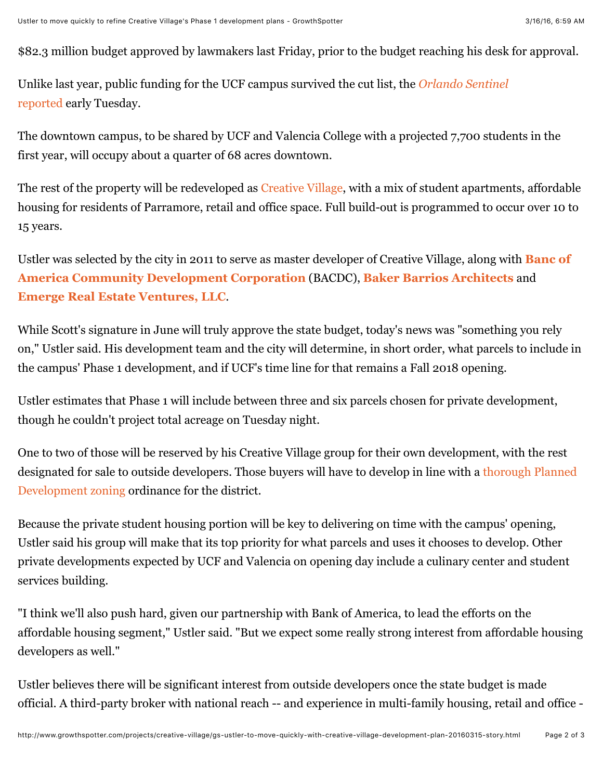\$82.3 million budget approved by lawmakers last Friday, prior to the budget reaching his desk for approval.

[Unlike last year, public funding for the UCF campus survived the cut list, the](http://www.orlandosentinel.com/features/education/school-zone/os-ucf-downtown-veto-survive-post.html) *Orlando Sentinel* reported early Tuesday.

The downtown campus, to be shared by UCF and Valencia College with a projected 7,700 students in the first year, will occupy about a quarter of 68 acres downtown.

The rest of the property will be redeveloped as [Creative Village](http://www.growthspotter.com/projects/creative-village/), with a mix of student apartments, affordable housing for residents of Parramore, retail and office space. Full build-out is programmed to occur over 10 to 15 years.

[Ustler was selected by the city in 2011 to serve as master developer of Creative Village, along with](http://about.bankofamerica.com/en-us/global-impact/strong-economies.html#fbid=n95GGeCoHKx) **Banc of America Community Development Corporation** (BACDC), **[Baker Barrios Architects](http://bakerbarrios.com/)** and **[Emerge Real Estate Ventures, LLC](http://emerge-realestate.com/)**.

While Scott's signature in June will truly approve the state budget, today's news was "something you rely on," Ustler said. His development team and the city will determine, in short order, what parcels to include in the campus' Phase 1 development, and if UCF's time line for that remains a Fall 2018 opening.

Ustler estimates that Phase 1 will include between three and six parcels chosen for private development, though he couldn't project total acreage on Tuesday night.

One to two of those will be reserved by his Creative Village group for their own development, with the rest [designated for sale to outside developers. Those buyers will have to develop in line with a thorough Planned](http://www.cityoforlando.net/economic/creative-village-guiding-documents/) Development zoning ordinance for the district.

Because the private student housing portion will be key to delivering on time with the campus' opening, Ustler said his group will make that its top priority for what parcels and uses it chooses to develop. Other private developments expected by UCF and Valencia on opening day include a culinary center and student services building.

"I think we'll also push hard, given our partnership with Bank of America, to lead the efforts on the affordable housing segment," Ustler said. "But we expect some really strong interest from affordable housing developers as well."

Ustler believes there will be significant interest from outside developers once the state budget is made official. A third-party broker with national reach -- and experience in multi-family housing, retail and office -